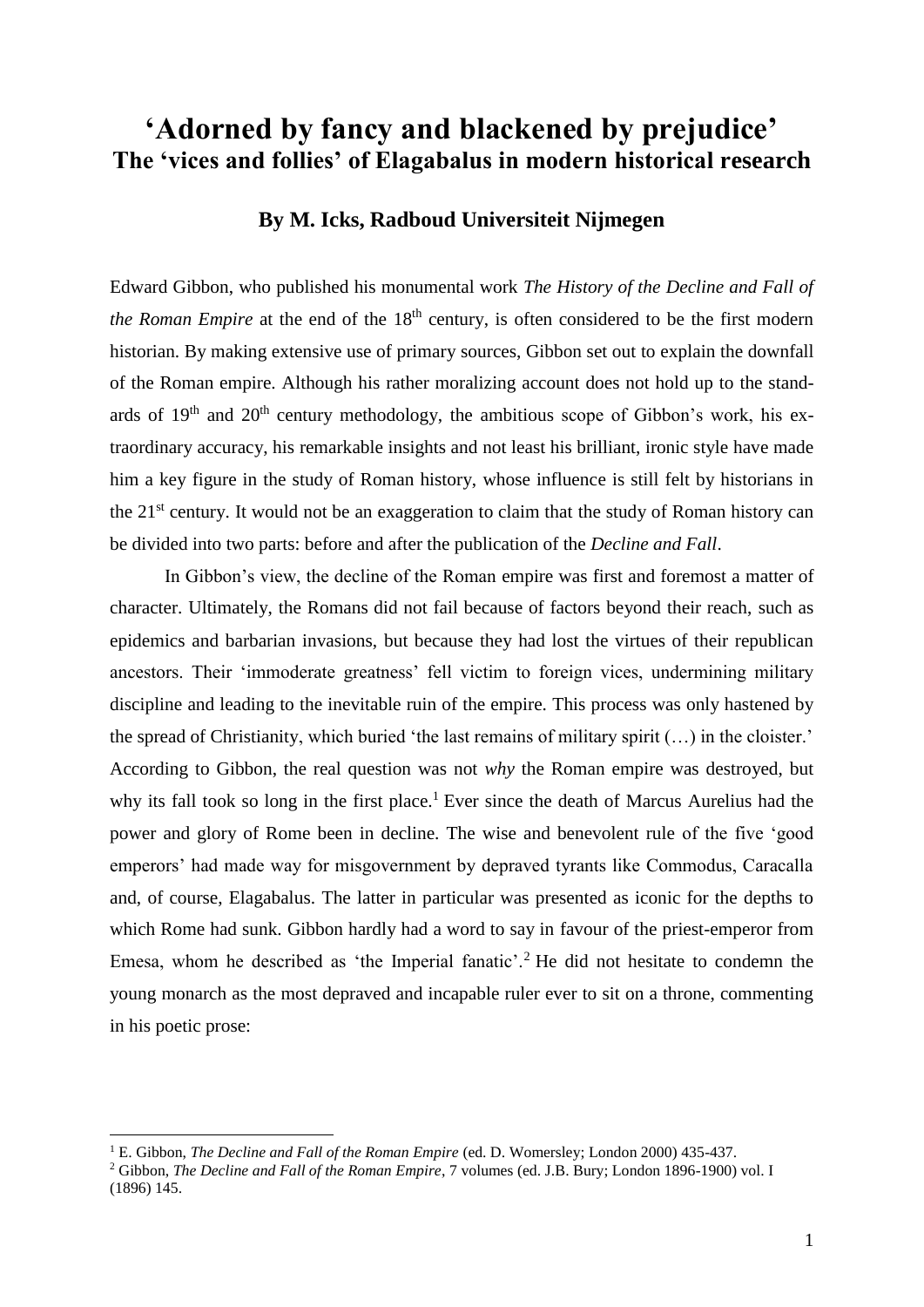## **'Adorned by fancy and blackened by prejudice' The 'vices and follies' of Elagabalus in modern historical research**

## **By M. Icks, Radboud Universiteit Nijmegen**

Edward Gibbon, who published his monumental work *The History of the Decline and Fall of the Roman Empire* at the end of the 18<sup>th</sup> century, is often considered to be the first modern historian. By making extensive use of primary sources, Gibbon set out to explain the downfall of the Roman empire. Although his rather moralizing account does not hold up to the standards of  $19<sup>th</sup>$  and  $20<sup>th</sup>$  century methodology, the ambitious scope of Gibbon's work, his extraordinary accuracy, his remarkable insights and not least his brilliant, ironic style have made him a key figure in the study of Roman history, whose influence is still felt by historians in the 21<sup>st</sup> century. It would not be an exaggeration to claim that the study of Roman history can be divided into two parts: before and after the publication of the *Decline and Fall*.

In Gibbon's view, the decline of the Roman empire was first and foremost a matter of character. Ultimately, the Romans did not fail because of factors beyond their reach, such as epidemics and barbarian invasions, but because they had lost the virtues of their republican ancestors. Their 'immoderate greatness' fell victim to foreign vices, undermining military discipline and leading to the inevitable ruin of the empire. This process was only hastened by the spread of Christianity, which buried 'the last remains of military spirit (…) in the cloister.' According to Gibbon, the real question was not *why* the Roman empire was destroyed, but why its fall took so long in the first place.<sup>1</sup> Ever since the death of Marcus Aurelius had the power and glory of Rome been in decline. The wise and benevolent rule of the five 'good emperors' had made way for misgovernment by depraved tyrants like Commodus, Caracalla and, of course, Elagabalus. The latter in particular was presented as iconic for the depths to which Rome had sunk. Gibbon hardly had a word to say in favour of the priest-emperor from Emesa, whom he described as 'the Imperial fanatic'.<sup>2</sup> He did not hesitate to condemn the young monarch as the most depraved and incapable ruler ever to sit on a throne, commenting in his poetic prose:

<sup>1</sup> E. Gibbon, *The Decline and Fall of the Roman Empire* (ed. D. Womersley; London 2000) 435-437.

<sup>2</sup> Gibbon, *The Decline and Fall of the Roman Empire*, 7 volumes (ed. J.B. Bury; London 1896-1900) vol. I (1896) 145.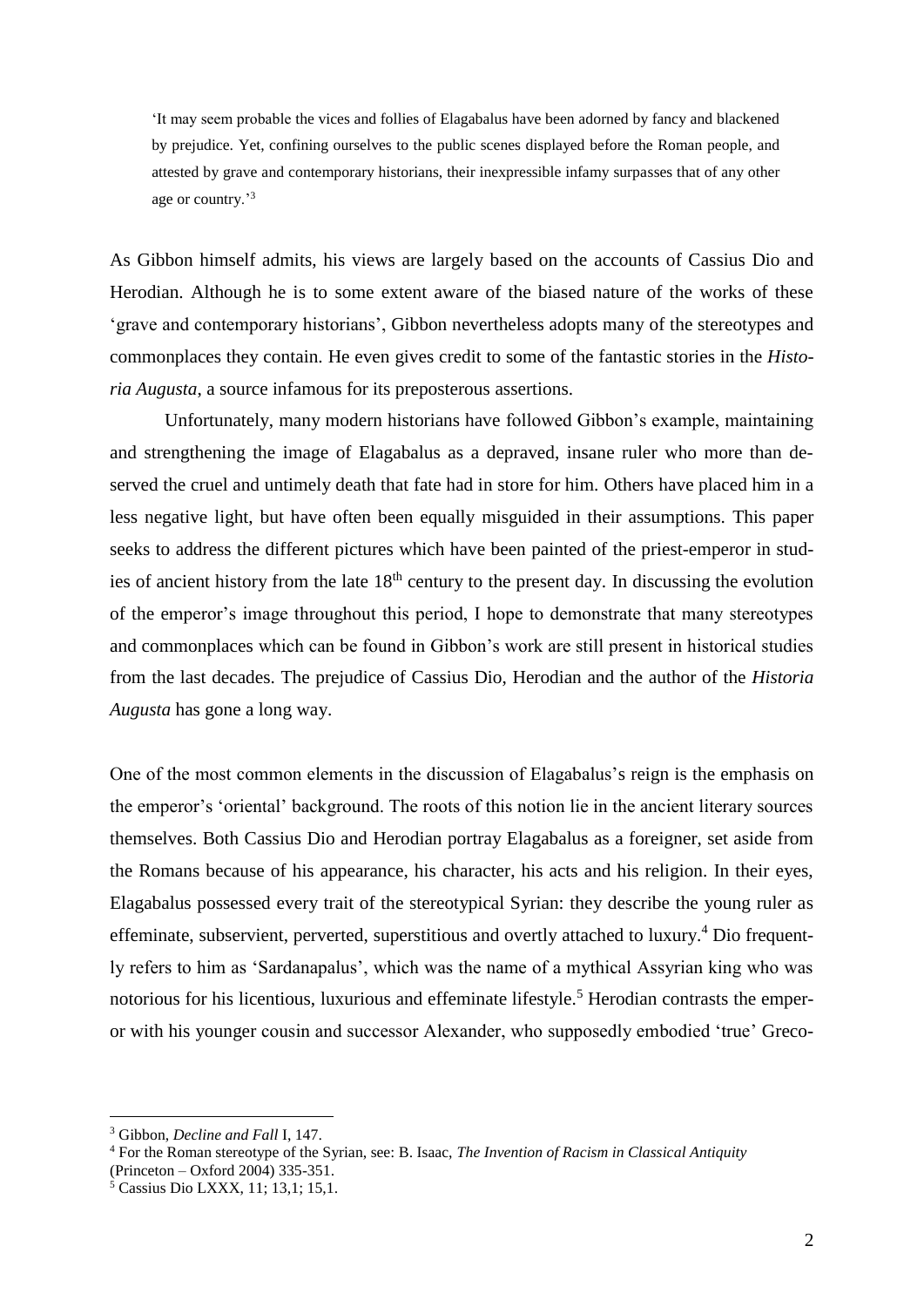'It may seem probable the vices and follies of Elagabalus have been adorned by fancy and blackened by prejudice. Yet, confining ourselves to the public scenes displayed before the Roman people, and attested by grave and contemporary historians, their inexpressible infamy surpasses that of any other age or country.'<sup>3</sup>

As Gibbon himself admits, his views are largely based on the accounts of Cassius Dio and Herodian. Although he is to some extent aware of the biased nature of the works of these 'grave and contemporary historians', Gibbon nevertheless adopts many of the stereotypes and commonplaces they contain. He even gives credit to some of the fantastic stories in the *Historia Augusta*, a source infamous for its preposterous assertions.

Unfortunately, many modern historians have followed Gibbon's example, maintaining and strengthening the image of Elagabalus as a depraved, insane ruler who more than deserved the cruel and untimely death that fate had in store for him. Others have placed him in a less negative light, but have often been equally misguided in their assumptions. This paper seeks to address the different pictures which have been painted of the priest-emperor in studies of ancient history from the late  $18<sup>th</sup>$  century to the present day. In discussing the evolution of the emperor's image throughout this period, I hope to demonstrate that many stereotypes and commonplaces which can be found in Gibbon's work are still present in historical studies from the last decades. The prejudice of Cassius Dio, Herodian and the author of the *Historia Augusta* has gone a long way.

One of the most common elements in the discussion of Elagabalus's reign is the emphasis on the emperor's 'oriental' background. The roots of this notion lie in the ancient literary sources themselves. Both Cassius Dio and Herodian portray Elagabalus as a foreigner, set aside from the Romans because of his appearance, his character, his acts and his religion. In their eyes, Elagabalus possessed every trait of the stereotypical Syrian: they describe the young ruler as effeminate, subservient, perverted, superstitious and overtly attached to luxury.<sup>4</sup> Dio frequently refers to him as 'Sardanapalus', which was the name of a mythical Assyrian king who was notorious for his licentious, luxurious and effeminate lifestyle.<sup>5</sup> Herodian contrasts the emperor with his younger cousin and successor Alexander, who supposedly embodied 'true' Greco-

<sup>3</sup> Gibbon, *Decline and Fall* I, 147.

<sup>4</sup> For the Roman stereotype of the Syrian, see: B. Isaac, *The Invention of Racism in Classical Antiquity*

<sup>(</sup>Princeton – Oxford 2004) 335-351.

 $\frac{5}{5}$  Cassius Dio LXXX, 11; 13,1; 15,1.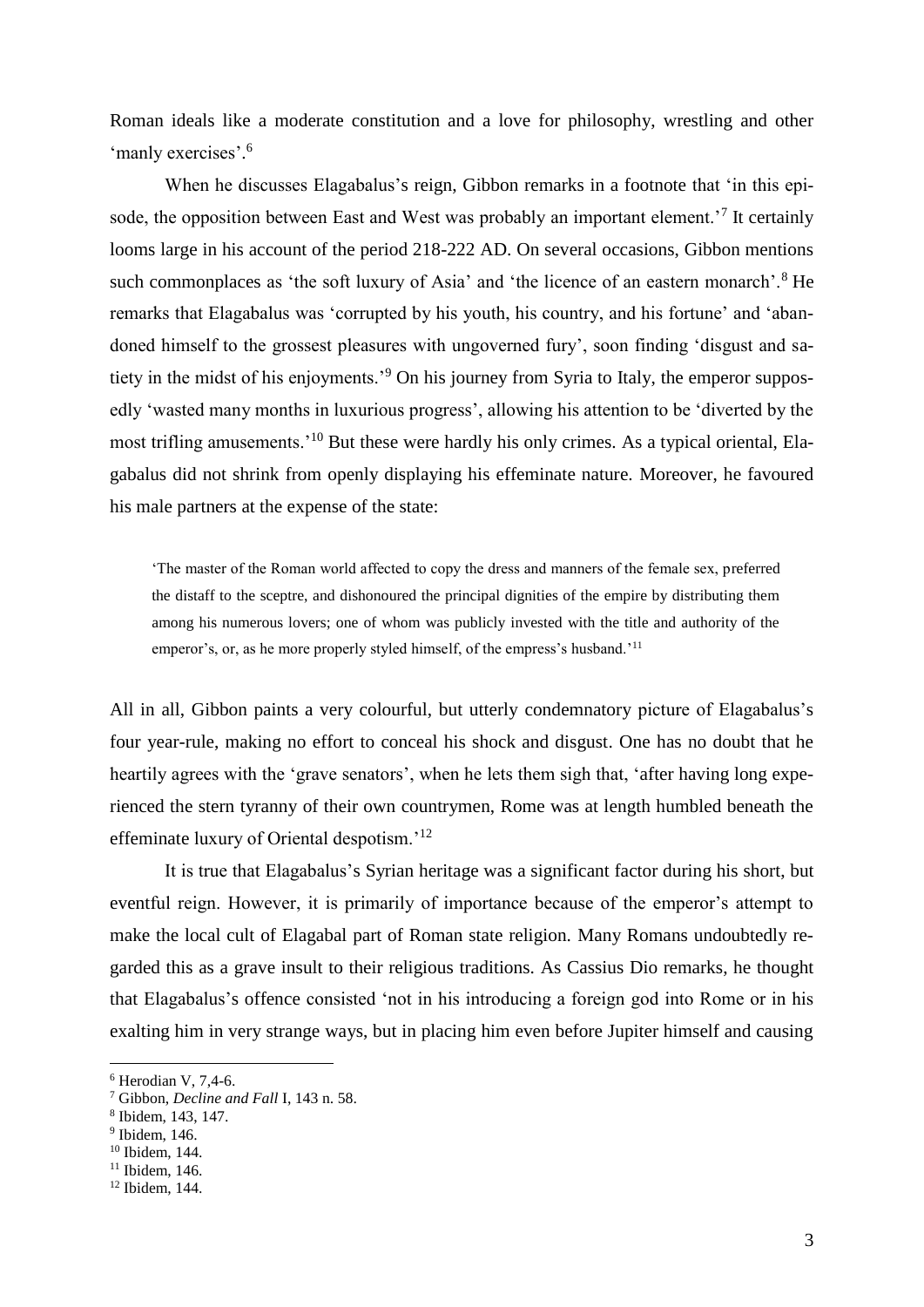Roman ideals like a moderate constitution and a love for philosophy, wrestling and other 'manly exercises'.<sup>6</sup>

When he discusses Elagabalus's reign, Gibbon remarks in a footnote that 'in this episode, the opposition between East and West was probably an important element.<sup>7</sup> It certainly looms large in his account of the period 218-222 AD. On several occasions, Gibbon mentions such commonplaces as 'the soft luxury of Asia' and 'the licence of an eastern monarch'.<sup>8</sup> He remarks that Elagabalus was 'corrupted by his youth, his country, and his fortune' and 'abandoned himself to the grossest pleasures with ungoverned fury', soon finding 'disgust and satiety in the midst of his enjoyments.'<sup>9</sup> On his journey from Syria to Italy, the emperor supposedly 'wasted many months in luxurious progress', allowing his attention to be 'diverted by the most trifling amusements.'<sup>10</sup> But these were hardly his only crimes. As a typical oriental, Elagabalus did not shrink from openly displaying his effeminate nature. Moreover, he favoured his male partners at the expense of the state:

'The master of the Roman world affected to copy the dress and manners of the female sex, preferred the distaff to the sceptre, and dishonoured the principal dignities of the empire by distributing them among his numerous lovers; one of whom was publicly invested with the title and authority of the emperor's, or, as he more properly styled himself, of the empress's husband.<sup>'11</sup>

All in all, Gibbon paints a very colourful, but utterly condemnatory picture of Elagabalus's four year-rule, making no effort to conceal his shock and disgust. One has no doubt that he heartily agrees with the 'grave senators', when he lets them sigh that, 'after having long experienced the stern tyranny of their own countrymen, Rome was at length humbled beneath the effeminate luxury of Oriental despotism.'<sup>12</sup>

It is true that Elagabalus's Syrian heritage was a significant factor during his short, but eventful reign. However, it is primarily of importance because of the emperor's attempt to make the local cult of Elagabal part of Roman state religion. Many Romans undoubtedly regarded this as a grave insult to their religious traditions. As Cassius Dio remarks, he thought that Elagabalus's offence consisted 'not in his introducing a foreign god into Rome or in his exalting him in very strange ways, but in placing him even before Jupiter himself and causing

 $6$  Herodian V, 7.4-6.

<sup>7</sup> Gibbon, *Decline and Fall* I, 143 n. 58.

<sup>8</sup> Ibidem, 143, 147.

 $9$  Ibidem, 146.

<sup>10</sup> Ibidem, 144.

<sup>11</sup> Ibidem, 146.

<sup>12</sup> Ibidem, 144.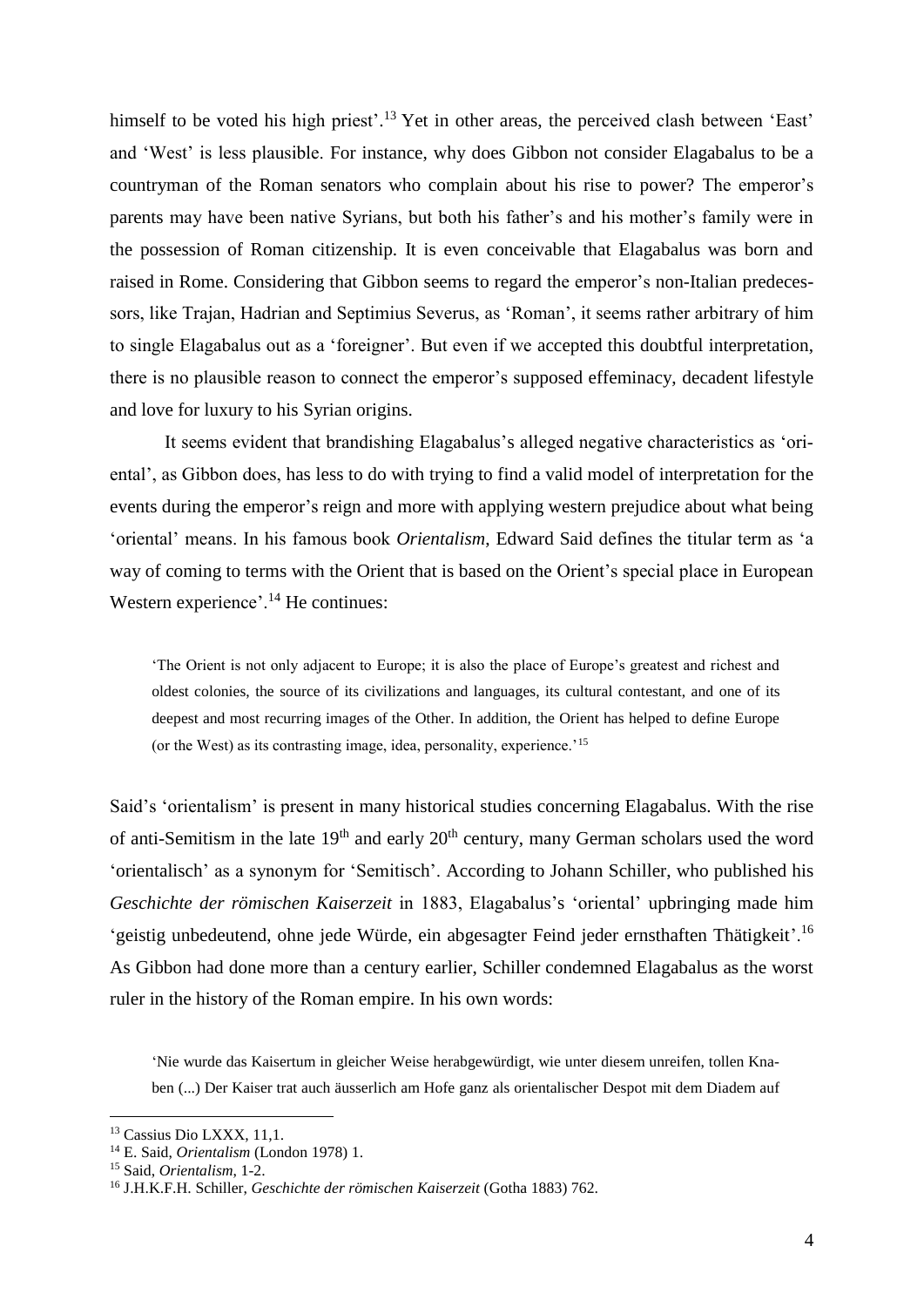himself to be voted his high priest'.<sup>13</sup> Yet in other areas, the perceived clash between 'East' and 'West' is less plausible. For instance, why does Gibbon not consider Elagabalus to be a countryman of the Roman senators who complain about his rise to power? The emperor's parents may have been native Syrians, but both his father's and his mother's family were in the possession of Roman citizenship. It is even conceivable that Elagabalus was born and raised in Rome. Considering that Gibbon seems to regard the emperor's non-Italian predecessors, like Trajan, Hadrian and Septimius Severus, as 'Roman', it seems rather arbitrary of him to single Elagabalus out as a 'foreigner'. But even if we accepted this doubtful interpretation, there is no plausible reason to connect the emperor's supposed effeminacy, decadent lifestyle and love for luxury to his Syrian origins.

It seems evident that brandishing Elagabalus's alleged negative characteristics as 'oriental', as Gibbon does, has less to do with trying to find a valid model of interpretation for the events during the emperor's reign and more with applying western prejudice about what being 'oriental' means. In his famous book *Orientalism*, Edward Said defines the titular term as 'a way of coming to terms with the Orient that is based on the Orient's special place in European Western experience'.<sup>14</sup> He continues:

'The Orient is not only adjacent to Europe; it is also the place of Europe's greatest and richest and oldest colonies, the source of its civilizations and languages, its cultural contestant, and one of its deepest and most recurring images of the Other. In addition, the Orient has helped to define Europe (or the West) as its contrasting image, idea, personality, experience.'<sup>15</sup>

Said's 'orientalism' is present in many historical studies concerning Elagabalus. With the rise of anti-Semitism in the late  $19<sup>th</sup>$  and early  $20<sup>th</sup>$  century, many German scholars used the word 'orientalisch' as a synonym for 'Semitisch'. According to Johann Schiller, who published his *Geschichte der römischen Kaiserzeit* in 1883, Elagabalus's 'oriental' upbringing made him 'geistig unbedeutend, ohne jede Würde, ein abgesagter Feind jeder ernsthaften Thätigkeit'.<sup>16</sup> As Gibbon had done more than a century earlier, Schiller condemned Elagabalus as the worst ruler in the history of the Roman empire. In his own words:

'Nie wurde das Kaisertum in gleicher Weise herabgewürdigt, wie unter diesem unreifen, tollen Knaben (...) Der Kaiser trat auch äusserlich am Hofe ganz als orientalischer Despot mit dem Diadem auf

<sup>13</sup> Cassius Dio LXXX, 11,1.

<sup>14</sup> E. Said, *Orientalism* (London 1978) 1.

<sup>15</sup> Said, *Orientalism*, 1-2.

<sup>16</sup> J.H.K.F.H. Schiller, *Geschichte der römischen Kaiserzeit* (Gotha 1883) 762.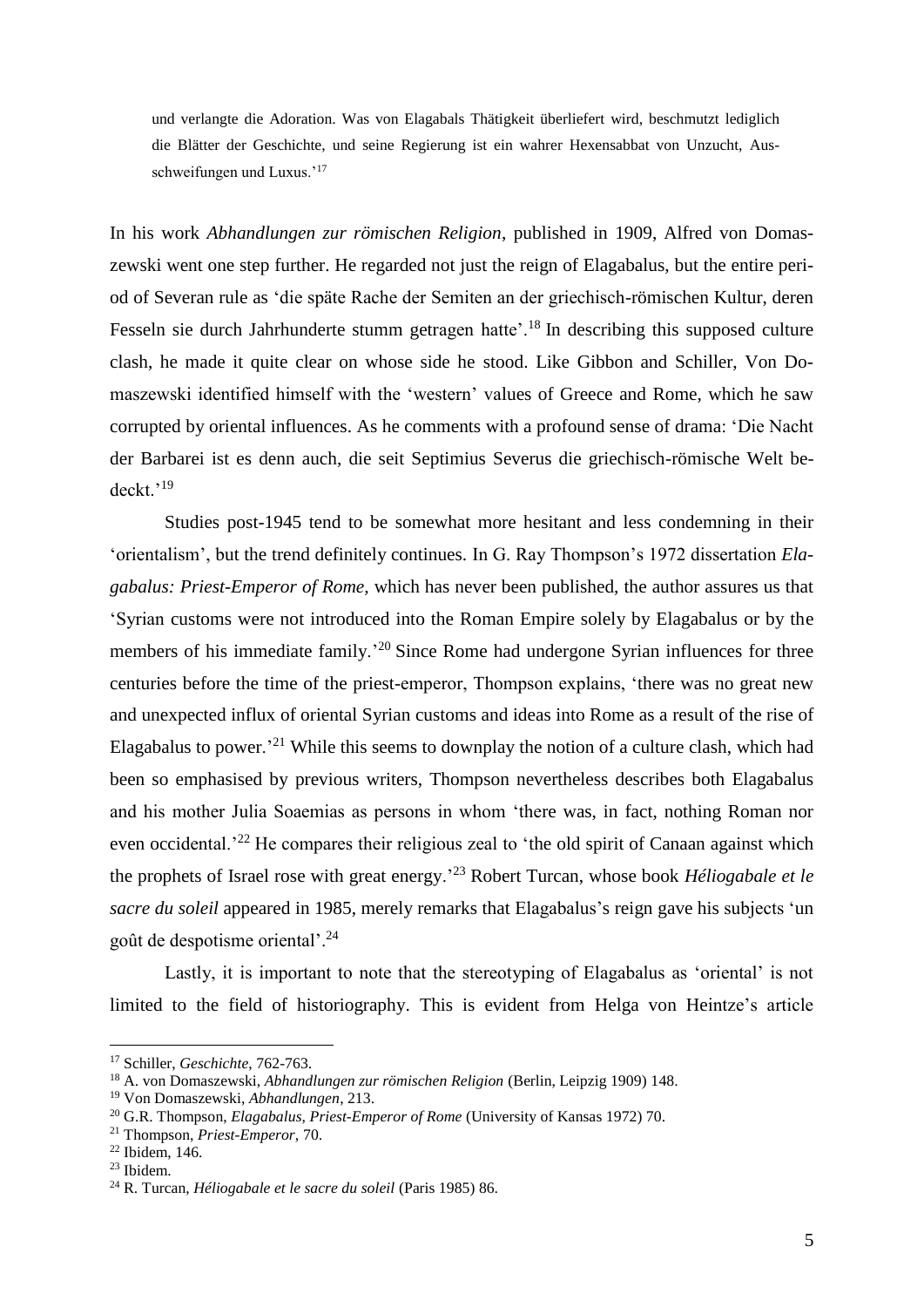und verlangte die Adoration. Was von Elagabals Thätigkeit überliefert wird, beschmutzt lediglich die Blätter der Geschichte, und seine Regierung ist ein wahrer Hexensabbat von Unzucht, Ausschweifungen und Luxus.'<sup>17</sup>

In his work *Abhandlungen zur römischen Religion*, published in 1909, Alfred von Domaszewski went one step further. He regarded not just the reign of Elagabalus, but the entire period of Severan rule as 'die späte Rache der Semiten an der griechisch-römischen Kultur, deren Fesseln sie durch Jahrhunderte stumm getragen hatte'.<sup>18</sup> In describing this supposed culture clash, he made it quite clear on whose side he stood. Like Gibbon and Schiller, Von Domaszewski identified himself with the 'western' values of Greece and Rome, which he saw corrupted by oriental influences. As he comments with a profound sense of drama: 'Die Nacht der Barbarei ist es denn auch, die seit Septimius Severus die griechisch-römische Welt bedeckt.'<sup>19</sup>

Studies post-1945 tend to be somewhat more hesitant and less condemning in their 'orientalism', but the trend definitely continues. In G. Ray Thompson's 1972 dissertation *Elagabalus: Priest-Emperor of Rome*, which has never been published, the author assures us that 'Syrian customs were not introduced into the Roman Empire solely by Elagabalus or by the members of his immediate family.<sup>20</sup> Since Rome had undergone Syrian influences for three centuries before the time of the priest-emperor, Thompson explains, 'there was no great new and unexpected influx of oriental Syrian customs and ideas into Rome as a result of the rise of Elagabalus to power.<sup>21</sup> While this seems to downplay the notion of a culture clash, which had been so emphasised by previous writers, Thompson nevertheless describes both Elagabalus and his mother Julia Soaemias as persons in whom 'there was, in fact, nothing Roman nor even occidental.<sup>22</sup> He compares their religious zeal to 'the old spirit of Canaan against which the prophets of Israel rose with great energy.'<sup>23</sup> Robert Turcan, whose book *Héliogabale et le sacre du soleil* appeared in 1985, merely remarks that Elagabalus's reign gave his subjects 'un goût de despotisme oriental'.<sup>24</sup>

Lastly, it is important to note that the stereotyping of Elagabalus as 'oriental' is not limited to the field of historiography. This is evident from Helga von Heintze's article

<sup>17</sup> Schiller, *Geschichte*, 762-763.

<sup>18</sup> A. von Domaszewski, *Abhandlungen zur römischen Religion* (Berlin, Leipzig 1909) 148.

<sup>19</sup> Von Domaszewski, *Abhandlungen*, 213.

<sup>20</sup> G.R. Thompson, *Elagabalus, Priest-Emperor of Rome* (University of Kansas 1972) 70.

<sup>21</sup> Thompson, *Priest-Emperor*, 70.

 $22$  Ibidem, 146.

<sup>23</sup> Ibidem.

<sup>24</sup> R. Turcan, *Héliogabale et le sacre du soleil* (Paris 1985) 86.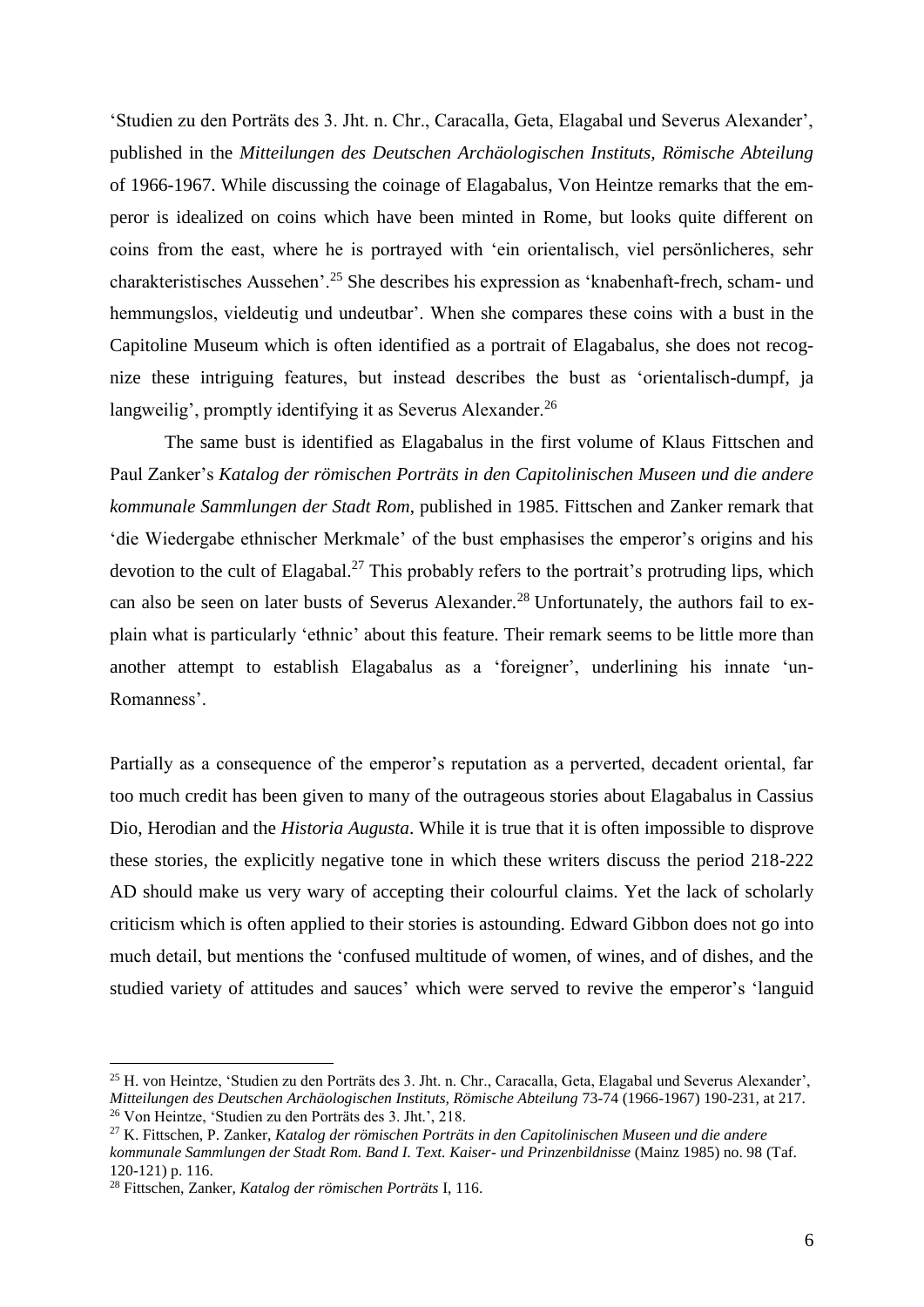'Studien zu den Porträts des 3. Jht. n. Chr., Caracalla, Geta, Elagabal und Severus Alexander', published in the *Mitteilungen des Deutschen Archäologischen Instituts, Römische Abteilung*  of 1966-1967. While discussing the coinage of Elagabalus, Von Heintze remarks that the emperor is idealized on coins which have been minted in Rome, but looks quite different on coins from the east, where he is portrayed with 'ein orientalisch, viel persönlicheres, sehr charakteristisches Aussehen'.<sup>25</sup> She describes his expression as 'knabenhaft-frech, scham- und hemmungslos, vieldeutig und undeutbar'. When she compares these coins with a bust in the Capitoline Museum which is often identified as a portrait of Elagabalus, she does not recognize these intriguing features, but instead describes the bust as 'orientalisch-dumpf, ja langweilig', promptly identifying it as Severus Alexander.<sup>26</sup>

The same bust is identified as Elagabalus in the first volume of Klaus Fittschen and Paul Zanker's *Katalog der römischen Porträts in den Capitolinischen Museen und die andere kommunale Sammlungen der Stadt Rom*, published in 1985. Fittschen and Zanker remark that 'die Wiedergabe ethnischer Merkmale' of the bust emphasises the emperor's origins and his devotion to the cult of Elagabal.<sup>27</sup> This probably refers to the portrait's protruding lips, which can also be seen on later busts of Severus Alexander.<sup>28</sup> Unfortunately, the authors fail to explain what is particularly 'ethnic' about this feature. Their remark seems to be little more than another attempt to establish Elagabalus as a 'foreigner', underlining his innate 'un-Romanness'.

Partially as a consequence of the emperor's reputation as a perverted, decadent oriental, far too much credit has been given to many of the outrageous stories about Elagabalus in Cassius Dio, Herodian and the *Historia Augusta*. While it is true that it is often impossible to disprove these stories, the explicitly negative tone in which these writers discuss the period 218-222 AD should make us very wary of accepting their colourful claims. Yet the lack of scholarly criticism which is often applied to their stories is astounding. Edward Gibbon does not go into much detail, but mentions the 'confused multitude of women, of wines, and of dishes, and the studied variety of attitudes and sauces' which were served to revive the emperor's 'languid

<sup>25</sup> H. von Heintze, 'Studien zu den Porträts des 3. Jht. n. Chr., Caracalla, Geta, Elagabal und Severus Alexander', *Mitteilungen des Deutschen Archäologischen Instituts, Römische Abteilung* 73-74 (1966-1967) 190-231, at 217. <sup>26</sup> Von Heintze, 'Studien zu den Porträts des 3. Jht.', 218.

<sup>27</sup> K. Fittschen, P. Zanker, *Katalog der römischen Porträts in den Capitolinischen Museen und die andere kommunale Sammlungen der Stadt Rom. Band I. Text. Kaiser- und Prinzenbildnisse* (Mainz 1985) no. 98 (Taf. 120-121) p. 116.

<sup>28</sup> Fittschen, Zanker, *Katalog der römischen Porträts* I, 116.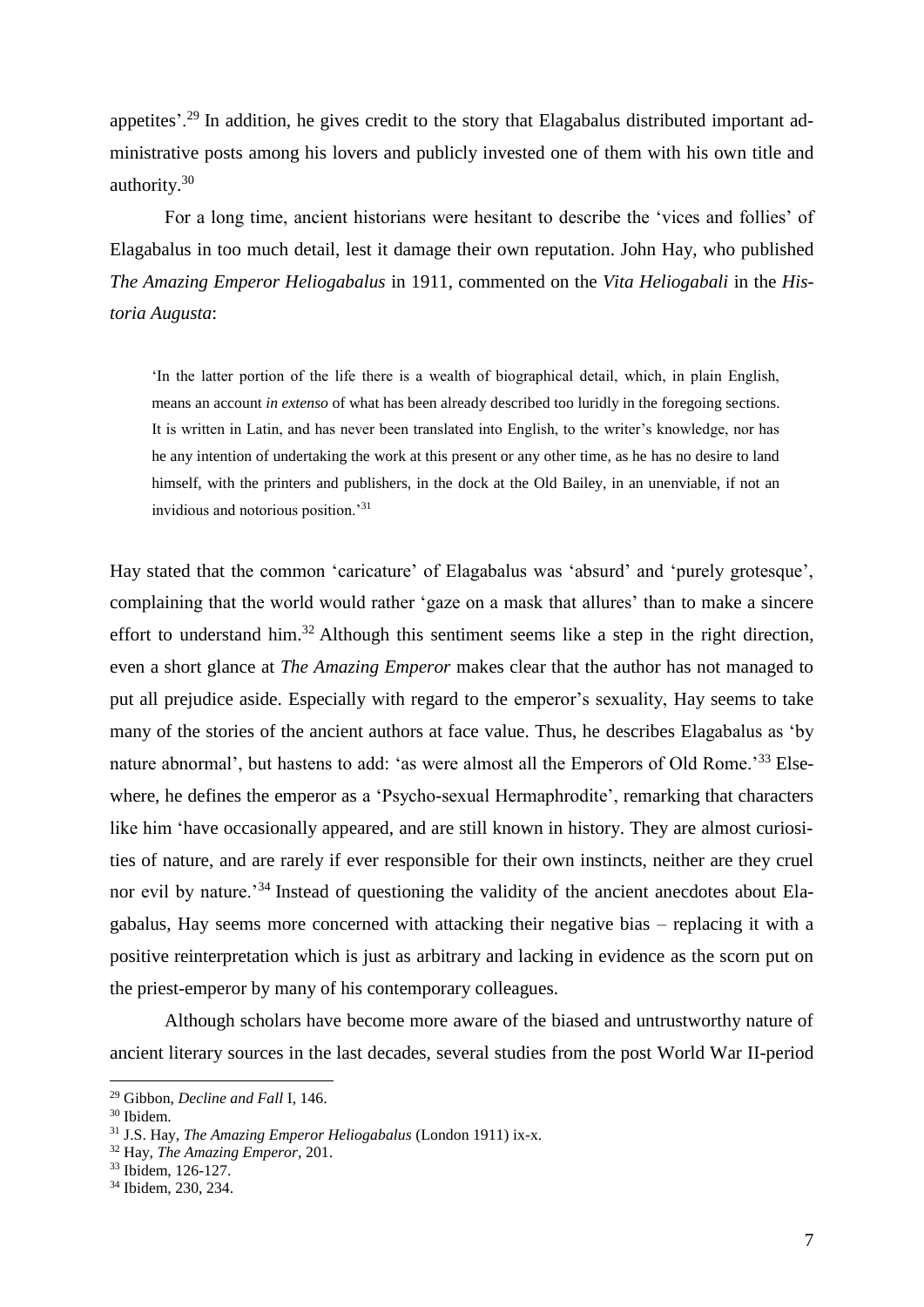appetites'.<sup>29</sup> In addition, he gives credit to the story that Elagabalus distributed important administrative posts among his lovers and publicly invested one of them with his own title and authority.<sup>30</sup>

For a long time, ancient historians were hesitant to describe the 'vices and follies' of Elagabalus in too much detail, lest it damage their own reputation. John Hay, who published *The Amazing Emperor Heliogabalus* in 1911, commented on the *Vita Heliogabali* in the *Historia Augusta*:

'In the latter portion of the life there is a wealth of biographical detail, which, in plain English, means an account *in extenso* of what has been already described too luridly in the foregoing sections. It is written in Latin, and has never been translated into English, to the writer's knowledge, nor has he any intention of undertaking the work at this present or any other time, as he has no desire to land himself, with the printers and publishers, in the dock at the Old Bailey, in an unenviable, if not an invidious and notorious position.'<sup>31</sup>

Hay stated that the common 'caricature' of Elagabalus was 'absurd' and 'purely grotesque', complaining that the world would rather 'gaze on a mask that allures' than to make a sincere effort to understand him.<sup>32</sup> Although this sentiment seems like a step in the right direction, even a short glance at *The Amazing Emperor* makes clear that the author has not managed to put all prejudice aside. Especially with regard to the emperor's sexuality, Hay seems to take many of the stories of the ancient authors at face value. Thus, he describes Elagabalus as 'by nature abnormal', but hastens to add: 'as were almost all the Emperors of Old Rome.'<sup>33</sup> Elsewhere, he defines the emperor as a 'Psycho-sexual Hermaphrodite', remarking that characters like him 'have occasionally appeared, and are still known in history. They are almost curiosities of nature, and are rarely if ever responsible for their own instincts, neither are they cruel nor evil by nature.<sup>34</sup> Instead of questioning the validity of the ancient anecdotes about Elagabalus, Hay seems more concerned with attacking their negative bias – replacing it with a positive reinterpretation which is just as arbitrary and lacking in evidence as the scorn put on the priest-emperor by many of his contemporary colleagues.

Although scholars have become more aware of the biased and untrustworthy nature of ancient literary sources in the last decades, several studies from the post World War II-period

<sup>29</sup> Gibbon, *Decline and Fall* I, 146.

<sup>30</sup> Ibidem.

<sup>31</sup> J.S. Hay, *The Amazing Emperor Heliogabalus* (London 1911) ix-x.

<sup>32</sup> Hay, *The Amazing Emperor*, 201.

<sup>&</sup>lt;sup>33</sup> Ibidem, 126-127.

<sup>34</sup> Ibidem, 230, 234.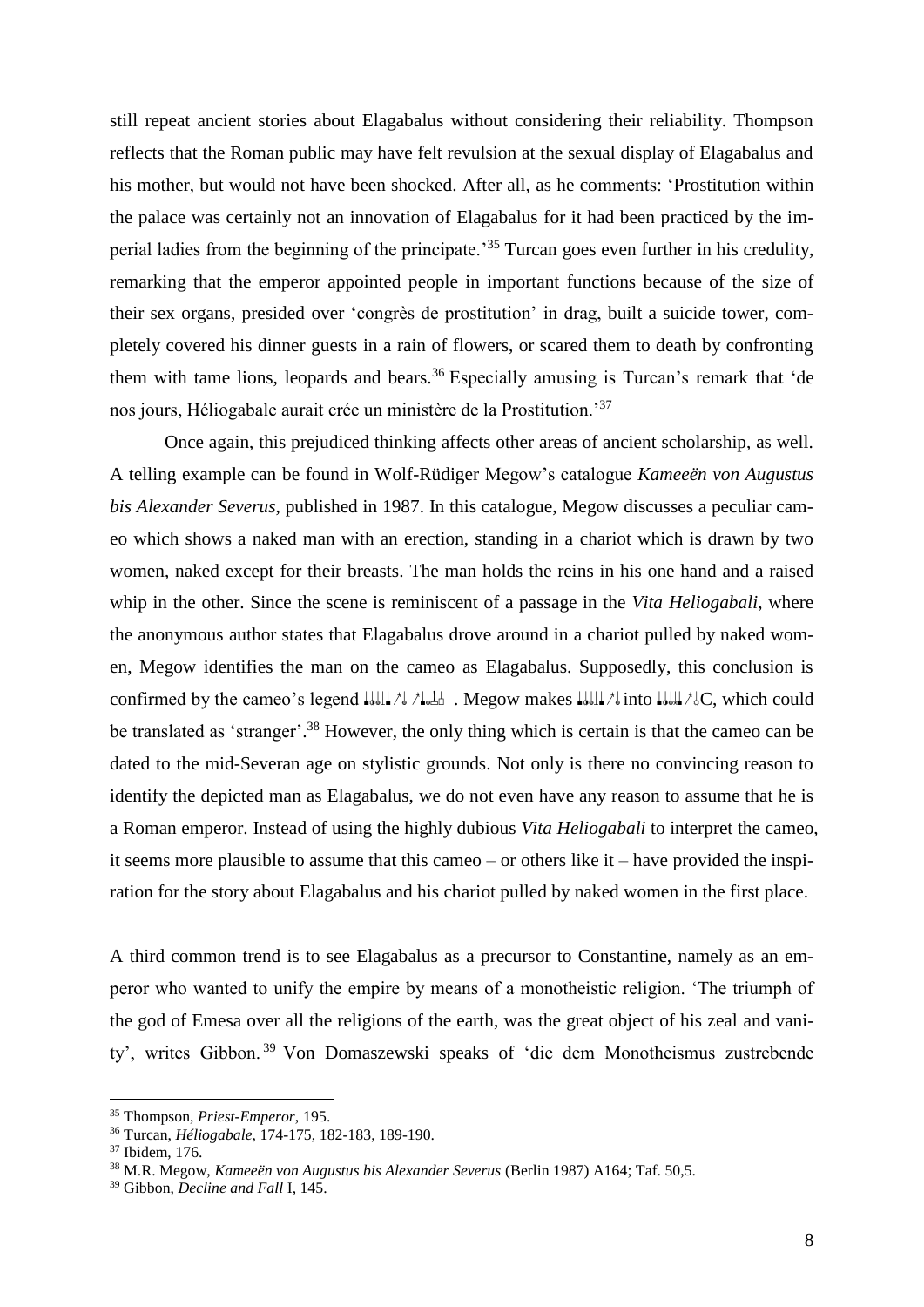still repeat ancient stories about Elagabalus without considering their reliability. Thompson reflects that the Roman public may have felt revulsion at the sexual display of Elagabalus and his mother, but would not have been shocked. After all, as he comments: 'Prostitution within the palace was certainly not an innovation of Elagabalus for it had been practiced by the imperial ladies from the beginning of the principate.'<sup>35</sup> Turcan goes even further in his credulity, remarking that the emperor appointed people in important functions because of the size of their sex organs, presided over 'congrès de prostitution' in drag, built a suicide tower, completely covered his dinner guests in a rain of flowers, or scared them to death by confronting them with tame lions, leopards and bears.<sup>36</sup> Especially amusing is Turcan's remark that 'de nos jours, Héliogabale aurait crée un ministère de la Prostitution.'<sup>37</sup>

Once again, this prejudiced thinking affects other areas of ancient scholarship, as well. A telling example can be found in Wolf-Rüdiger Megow's catalogue *Kameeën von Augustus bis Alexander Severus*, published in 1987. In this catalogue, Megow discusses a peculiar cameo which shows a naked man with an erection, standing in a chariot which is drawn by two women, naked except for their breasts. The man holds the reins in his one hand and a raised whip in the other. Since the scene is reminiscent of a passage in the *Vita Heliogabali*, where the anonymous author states that Elagabalus drove around in a chariot pulled by naked women, Megow identifies the man on the cameo as Elagabalus. Supposedly, this conclusion is confirmed by the cameo's legend  $\frac{1}{2}$ . Megow makes  $\frac{1}{2}$ , the could  $\frac{1}{2}$  or which could be translated as 'stranger'.<sup>38</sup> However, the only thing which is certain is that the cameo can be dated to the mid-Severan age on stylistic grounds. Not only is there no convincing reason to identify the depicted man as Elagabalus, we do not even have any reason to assume that he is a Roman emperor. Instead of using the highly dubious *Vita Heliogabali* to interpret the cameo, it seems more plausible to assume that this cameo – or others like it – have provided the inspiration for the story about Elagabalus and his chariot pulled by naked women in the first place.

A third common trend is to see Elagabalus as a precursor to Constantine, namely as an emperor who wanted to unify the empire by means of a monotheistic religion. 'The triumph of the god of Emesa over all the religions of the earth, was the great object of his zeal and vanity', writes Gibbon. <sup>39</sup> Von Domaszewski speaks of 'die dem Monotheismus zustrebende

<sup>35</sup> Thompson, *Priest-Emperor*, 195.

<sup>36</sup> Turcan, *Héliogabale*, 174-175, 182-183, 189-190.

<sup>37</sup> Ibidem, 176.

<sup>38</sup> M.R. Megow, *Kameeën von Augustus bis Alexander Severus* (Berlin 1987) A164; Taf. 50,5.

<sup>39</sup> Gibbon, *Decline and Fall* I, 145.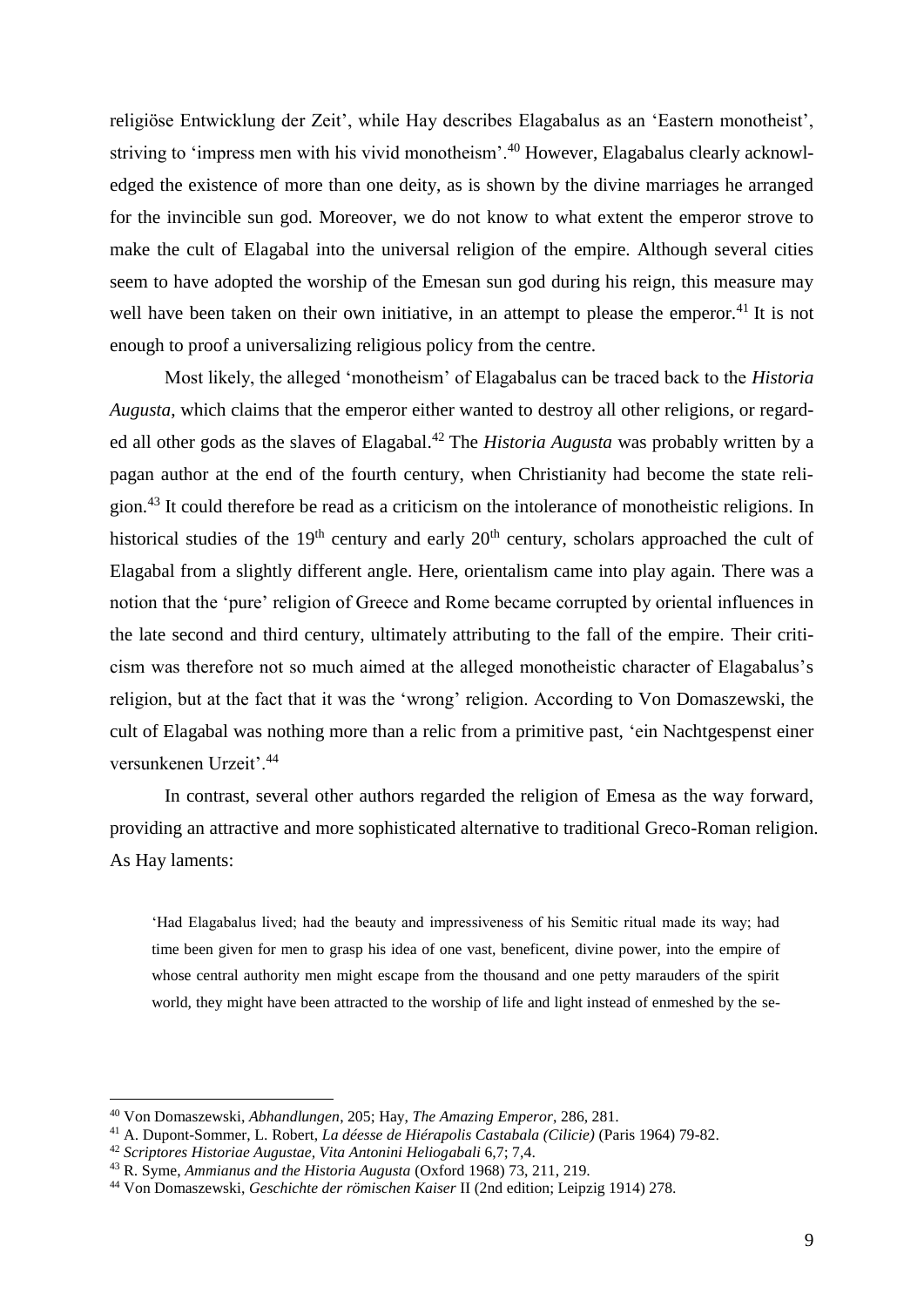religiöse Entwicklung der Zeit', while Hay describes Elagabalus as an 'Eastern monotheist', striving to 'impress men with his vivid monotheism'.<sup>40</sup> However, Elagabalus clearly acknowledged the existence of more than one deity, as is shown by the divine marriages he arranged for the invincible sun god. Moreover, we do not know to what extent the emperor strove to make the cult of Elagabal into the universal religion of the empire. Although several cities seem to have adopted the worship of the Emesan sun god during his reign, this measure may well have been taken on their own initiative, in an attempt to please the emperor.<sup>41</sup> It is not enough to proof a universalizing religious policy from the centre.

Most likely, the alleged 'monotheism' of Elagabalus can be traced back to the *Historia Augusta*, which claims that the emperor either wanted to destroy all other religions, or regarded all other gods as the slaves of Elagabal. <sup>42</sup> The *Historia Augusta* was probably written by a pagan author at the end of the fourth century, when Christianity had become the state religion.<sup>43</sup> It could therefore be read as a criticism on the intolerance of monotheistic religions. In historical studies of the  $19<sup>th</sup>$  century and early  $20<sup>th</sup>$  century, scholars approached the cult of Elagabal from a slightly different angle. Here, orientalism came into play again. There was a notion that the 'pure' religion of Greece and Rome became corrupted by oriental influences in the late second and third century, ultimately attributing to the fall of the empire. Their criticism was therefore not so much aimed at the alleged monotheistic character of Elagabalus's religion, but at the fact that it was the 'wrong' religion. According to Von Domaszewski, the cult of Elagabal was nothing more than a relic from a primitive past, 'ein Nachtgespenst einer versunkenen Urzeit'.<sup>44</sup>

In contrast, several other authors regarded the religion of Emesa as the way forward, providing an attractive and more sophisticated alternative to traditional Greco-Roman religion. As Hay laments:

'Had Elagabalus lived; had the beauty and impressiveness of his Semitic ritual made its way; had time been given for men to grasp his idea of one vast, beneficent, divine power, into the empire of whose central authority men might escape from the thousand and one petty marauders of the spirit world, they might have been attracted to the worship of life and light instead of enmeshed by the se-

<sup>40</sup> Von Domaszewski, *Abhandlungen*, 205; Hay, *The Amazing Emperor*, 286, 281.

<sup>41</sup> A. Dupont-Sommer, L. Robert, *La déesse de Hiérapolis Castabala (Cilicie)* (Paris 1964) 79-82.

<sup>42</sup> *Scriptores Historiae Augustae, Vita Antonini Heliogabali* 6,7; 7,4.

<sup>43</sup> R. Syme, *Ammianus and the Historia Augusta* (Oxford 1968) 73, 211, 219.

<sup>44</sup> Von Domaszewski, *Geschichte der römischen Kaiser* II (2nd edition; Leipzig 1914) 278.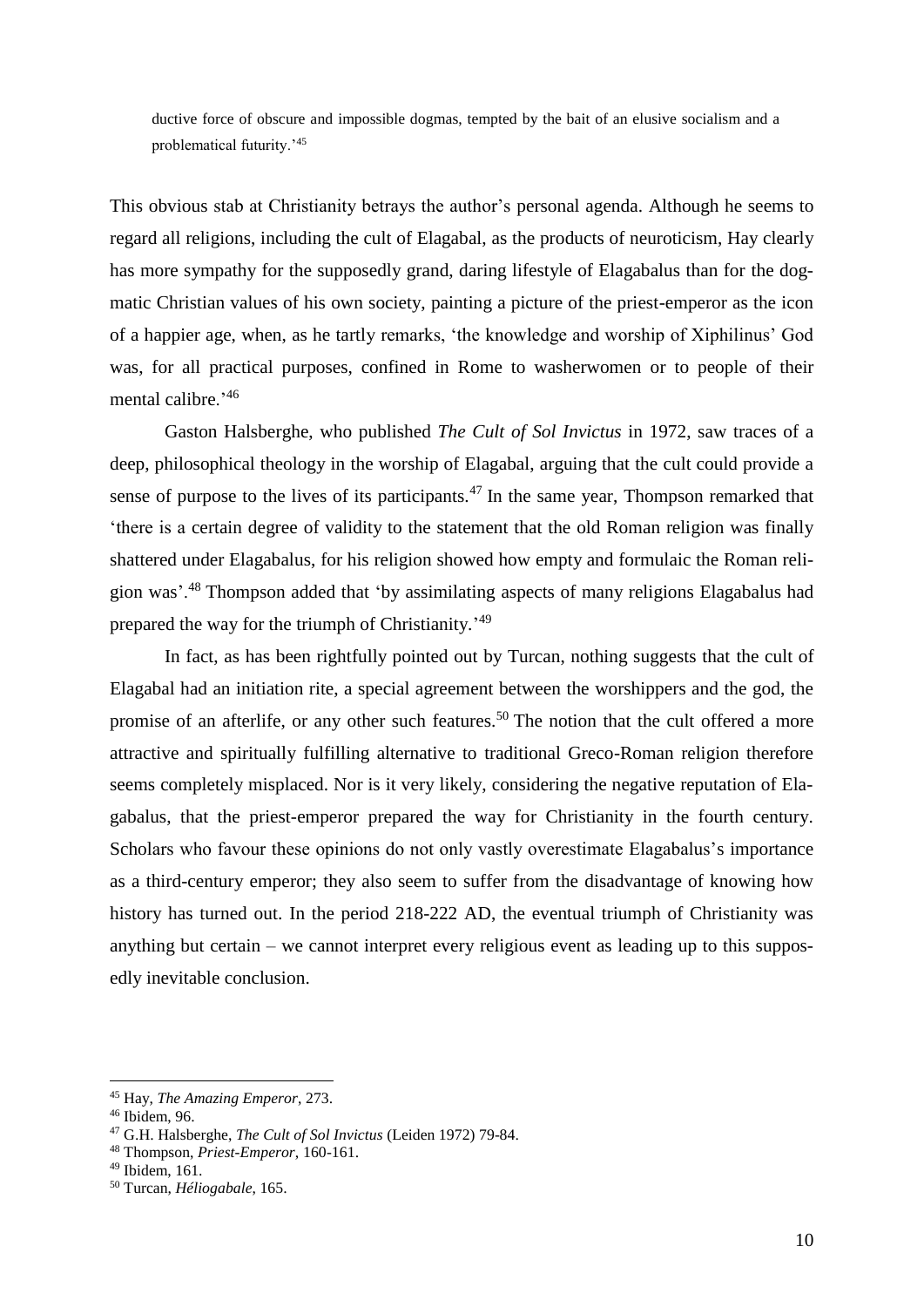ductive force of obscure and impossible dogmas, tempted by the bait of an elusive socialism and a problematical futurity.'<sup>45</sup>

This obvious stab at Christianity betrays the author's personal agenda. Although he seems to regard all religions, including the cult of Elagabal, as the products of neuroticism, Hay clearly has more sympathy for the supposedly grand, daring lifestyle of Elagabalus than for the dogmatic Christian values of his own society, painting a picture of the priest-emperor as the icon of a happier age, when, as he tartly remarks, 'the knowledge and worship of Xiphilinus' God was, for all practical purposes, confined in Rome to washerwomen or to people of their mental calibre.'46

Gaston Halsberghe, who published *The Cult of Sol Invictus* in 1972, saw traces of a deep, philosophical theology in the worship of Elagabal, arguing that the cult could provide a sense of purpose to the lives of its participants.<sup>47</sup> In the same year, Thompson remarked that 'there is a certain degree of validity to the statement that the old Roman religion was finally shattered under Elagabalus, for his religion showed how empty and formulaic the Roman religion was'.<sup>48</sup> Thompson added that 'by assimilating aspects of many religions Elagabalus had prepared the way for the triumph of Christianity.<sup>'49</sup>

In fact, as has been rightfully pointed out by Turcan, nothing suggests that the cult of Elagabal had an initiation rite, a special agreement between the worshippers and the god, the promise of an afterlife, or any other such features.<sup>50</sup> The notion that the cult offered a more attractive and spiritually fulfilling alternative to traditional Greco-Roman religion therefore seems completely misplaced. Nor is it very likely, considering the negative reputation of Elagabalus, that the priest-emperor prepared the way for Christianity in the fourth century. Scholars who favour these opinions do not only vastly overestimate Elagabalus's importance as a third-century emperor; they also seem to suffer from the disadvantage of knowing how history has turned out. In the period 218-222 AD, the eventual triumph of Christianity was anything but certain – we cannot interpret every religious event as leading up to this supposedly inevitable conclusion.

<sup>45</sup> Hay, *The Amazing Emperor*, 273.

<sup>46</sup> Ibidem, 96.

<sup>47</sup> G.H. Halsberghe, *The Cult of Sol Invictus* (Leiden 1972) 79-84.

<sup>48</sup> Thompson, *Priest-Emperor*, 160-161.

<sup>49</sup> Ibidem, 161.

<sup>50</sup> Turcan, *Héliogabale*, 165.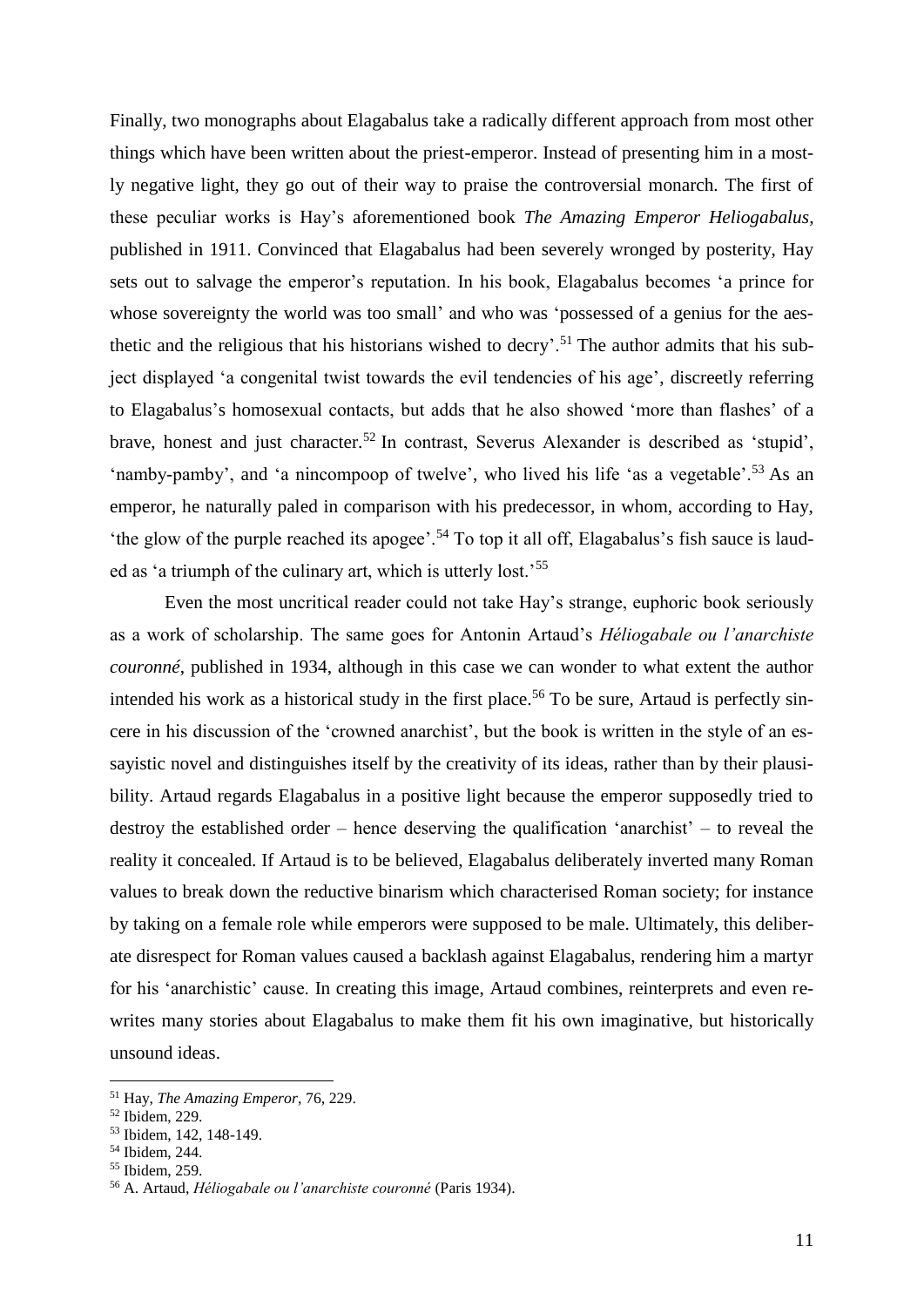Finally, two monographs about Elagabalus take a radically different approach from most other things which have been written about the priest-emperor. Instead of presenting him in a mostly negative light, they go out of their way to praise the controversial monarch. The first of these peculiar works is Hay's aforementioned book *The Amazing Emperor Heliogabalus*, published in 1911. Convinced that Elagabalus had been severely wronged by posterity, Hay sets out to salvage the emperor's reputation. In his book, Elagabalus becomes 'a prince for whose sovereignty the world was too small' and who was 'possessed of a genius for the aesthetic and the religious that his historians wished to decry'.<sup>51</sup> The author admits that his subject displayed 'a congenital twist towards the evil tendencies of his age', discreetly referring to Elagabalus's homosexual contacts, but adds that he also showed 'more than flashes' of a brave, honest and just character.<sup>52</sup> In contrast, Severus Alexander is described as 'stupid', 'namby-pamby', and 'a nincompoop of twelve', who lived his life 'as a vegetable'.<sup>53</sup> As an emperor, he naturally paled in comparison with his predecessor, in whom, according to Hay, the glow of the purple reached its apogee'.<sup>54</sup> To top it all off, Elagabalus's fish sauce is lauded as 'a triumph of the culinary art, which is utterly lost.'<sup>55</sup>

Even the most uncritical reader could not take Hay's strange, euphoric book seriously as a work of scholarship. The same goes for Antonin Artaud's *Héliogabale ou l'anarchiste couronné*, published in 1934, although in this case we can wonder to what extent the author intended his work as a historical study in the first place.<sup>56</sup> To be sure, Artaud is perfectly sincere in his discussion of the 'crowned anarchist', but the book is written in the style of an essayistic novel and distinguishes itself by the creativity of its ideas, rather than by their plausibility. Artaud regards Elagabalus in a positive light because the emperor supposedly tried to destroy the established order – hence deserving the qualification 'anarchist' – to reveal the reality it concealed. If Artaud is to be believed, Elagabalus deliberately inverted many Roman values to break down the reductive binarism which characterised Roman society; for instance by taking on a female role while emperors were supposed to be male. Ultimately, this deliberate disrespect for Roman values caused a backlash against Elagabalus, rendering him a martyr for his 'anarchistic' cause. In creating this image, Artaud combines, reinterprets and even rewrites many stories about Elagabalus to make them fit his own imaginative, but historically unsound ideas.

<sup>51</sup> Hay, *The Amazing Emperor*, 76, 229.

<sup>52</sup> Ibidem, 229.

<sup>53</sup> Ibidem, 142, 148-149.

<sup>54</sup> Ibidem, 244.

<sup>55</sup> Ibidem, 259.

<sup>56</sup> A. Artaud, *Héliogabale ou l'anarchiste couronné* (Paris 1934).